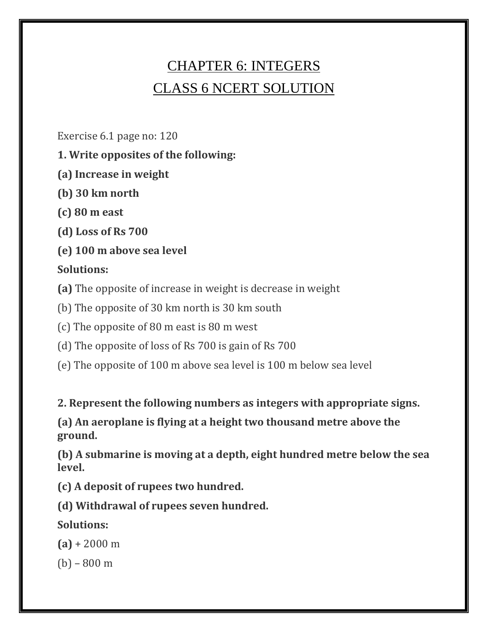# CHAPTER 6: INTEGERS CLASS 6 NCERT SOLUTION

Exercise 6.1 page no: 120

- **1. Write opposites of the following:**
- **(a) Increase in weight**
- **(b) 30 km north**
- **(c) 80 m east**
- **(d) Loss of Rs 700**
- **(e) 100 m above sea level**

## **Solutions:**

**(a)** The opposite of increase in weight is decrease in weight

(b) The opposite of 30 km north is 30 km south

(c) The opposite of 80 m east is 80 m west

- (d) The opposite of loss of Rs 700 is gain of Rs 700
- (e) The opposite of 100 m above sea level is 100 m below sea level

**2. Represent the following numbers as integers with appropriate signs.**

**(a) An aeroplane is flying at a height two thousand metre above the ground.**

**(b) A submarine is moving at a depth, eight hundred metre below the sea level.**

**(c) A deposit of rupees two hundred.**

**(d) Withdrawal of rupees seven hundred.**

**Solutions:**

 $(a) + 2000 \text{ m}$ 

(b) – 800 m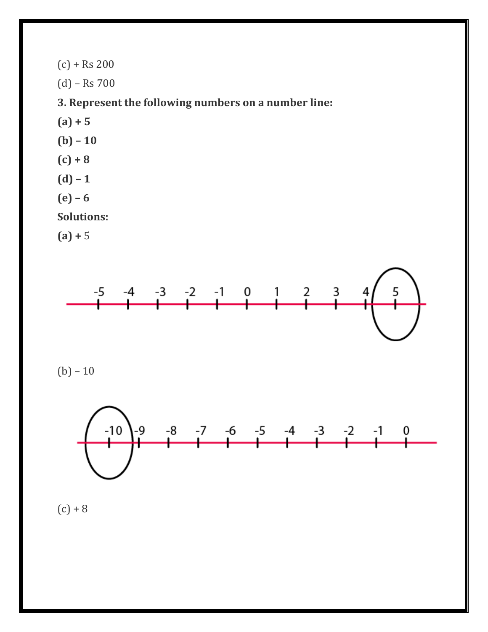$(c) + Rs 200$ (d) – Rs 700

**3. Represent the following numbers on a number line:**

- **(a) + 5**
- **(b) – 10**
- **(c) + 8**
- **(d) – 1**
- **(e) – 6**

**Solutions:**

**(a) +** 5



 $(b) - 10$ 



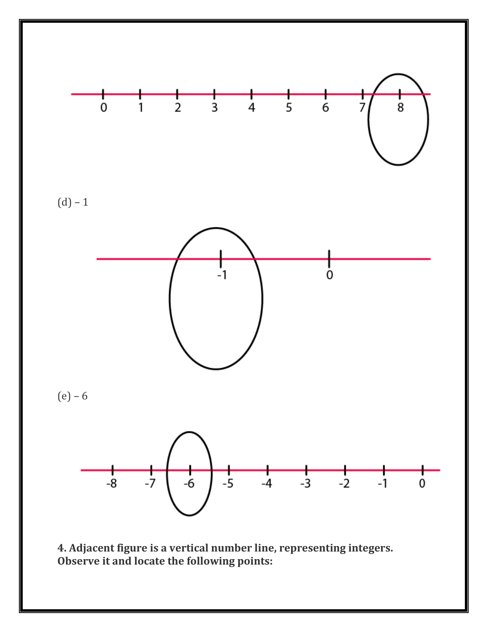

**4. Adjacent figure is a vertical number line, representing integers. Observe it and locate the following points:**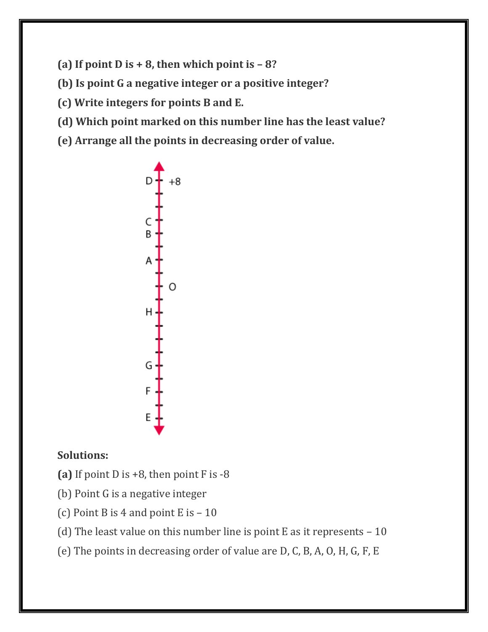**(a)** If point  $D$  is  $+ 8$ , then which point is  $- 8$ ?

**(b) Is point G a negative integer or a positive integer?**

**(c) Write integers for points B and E.**

- **(d) Which point marked on this number line has the least value?**
- **(e) Arrange all the points in decreasing order of value.**



## **Solutions:**

- **(a)** If point D is +8, then point F is -8
- (b) Point G is a negative integer
- (c) Point B is 4 and point E is  $-10$
- (d) The least value on this number line is point E as it represents  $-10$
- (e) The points in decreasing order of value are D, C, B, A, O, H, G, F, E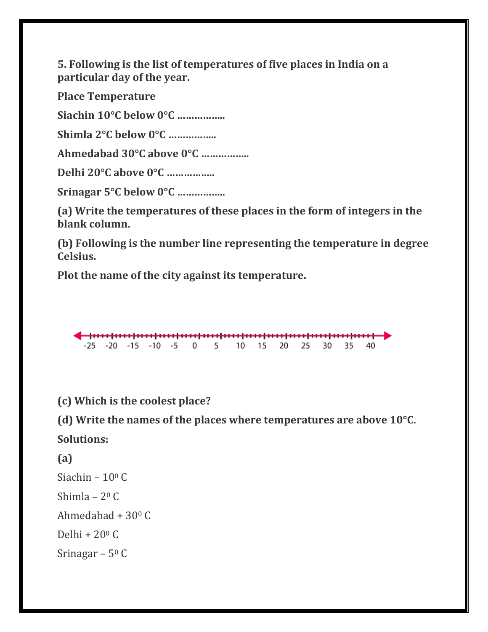**5. Following is the list of temperatures of five places in India on a particular day of the year.**

**Place Temperature**

**Siachin 10°C below 0°C ……………..**

**Shimla 2°C below 0°C ……………..**

**Ahmedabad 30°C above 0°C ……………..**

**Delhi 20°C above 0°C ……………..**

**Srinagar 5°C below 0°C ……………..**

**(a) Write the temperatures of these places in the form of integers in the blank column.**

**(b) Following is the number line representing the temperature in degree Celsius.**

**Plot the name of the city against its temperature.**

-25 -20 -15 -10 -5 0 5 10 15 20 25 30 35 -40

**(c) Which is the coolest place?**

**(d) Write the names of the places where temperatures are above 10°C. Solutions:**

**(a)**

Siachin –  $10^{\circ}$  C

Shimla – 2<sup>0</sup> C

Ahmedabad + 30<sup>0</sup> C

Delhi +  $20^{\circ}$  C

Srinagar –  $5^{\circ}$  C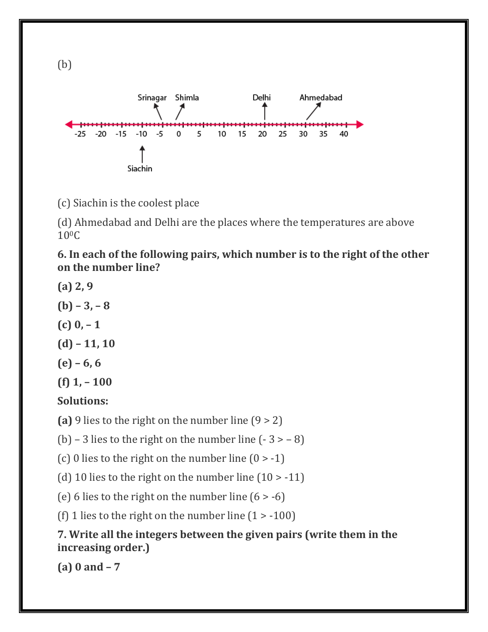

(c) Siachin is the coolest place

(d) Ahmedabad and Delhi are the places where the temperatures are above 100C

**6. In each of the following pairs, which number is to the right of the other on the number line?**

- **(a) 2, 9**
- $(b) 3, -8$
- **(c) 0, – 1**
- **(d) – 11, 10**
- **(e) – 6, 6**
- **(f) 1, – 100**

## **Solutions:**

**(a)** 9 lies to the right on the number line (9 > 2)

(b) – 3 lies to the right on the number line  $(-3 > -8)$ 

(c) 0 lies to the right on the number line  $(0 > -1)$ 

(d) 10 lies to the right on the number line  $(10 > -11)$ 

(e) 6 lies to the right on the number line  $(6 > -6)$ 

(f) 1 lies to the right on the number line  $(1 > -100)$ 

## **7. Write all the integers between the given pairs (write them in the increasing order.)**

**(a) 0 and – 7**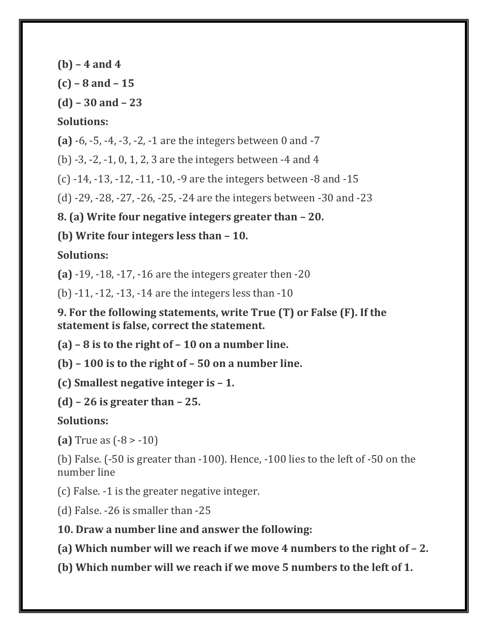**(b) – 4 and 4**

**(c) – 8 and – 15**

**(d) – 30 and – 23**

#### **Solutions:**

**(a)** -6, -5, -4, -3, -2, -1 are the integers between 0 and -7

(b) -3, -2, -1, 0, 1, 2, 3 are the integers between -4 and 4

(c) -14, -13, -12, -11, -10, -9 are the integers between -8 and -15

(d) -29, -28, -27, -26, -25, -24 are the integers between -30 and -23

**8. (a) Write four negative integers greater than – 20.**

**(b) Write four integers less than – 10.**

## **Solutions:**

**(a)** -19, -18, -17, -16 are the integers greater then -20

(b) -11, -12, -13, -14 are the integers less than -10

**9. For the following statements, write True (T) or False (F). If the statement is false, correct the statement.**

**(a) – 8 is to the right of – 10 on a number line.**

**(b) – 100 is to the right of – 50 on a number line.**

**(c) Smallest negative integer is – 1.**

**(d) – 26 is greater than – 25.**

## **Solutions:**

**(a)** True as (-8 > -10)

(b) False. (-50 is greater than -100). Hence, -100 lies to the left of -50 on the number line

(c) False. -1 is the greater negative integer.

(d) False. -26 is smaller than -25

**10. Draw a number line and answer the following:**

**(a) Which number will we reach if we move 4 numbers to the right of**  $-2$ **.** 

**(b) Which number will we reach if we move 5 numbers to the left of 1.**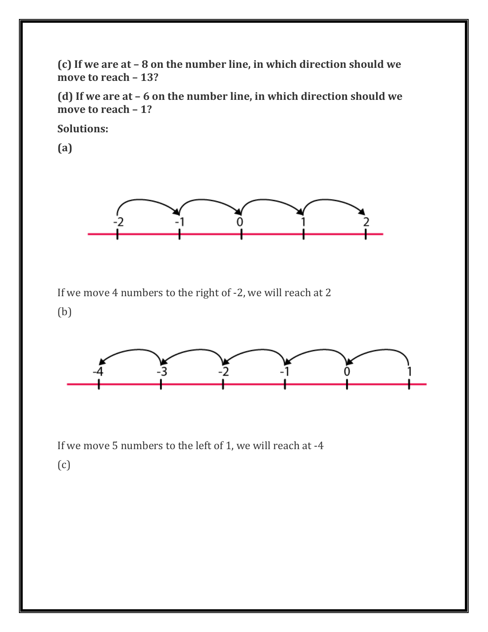**(c) If we are at – 8 on the number line, in which direction should we move to reach – 13?**

**(d) If we are at – 6 on the number line, in which direction should we move to reach – 1?**

**Solutions:**

**(a)**



If we move 4 numbers to the right of -2, we will reach at 2

(b)



If we move 5 numbers to the left of 1, we will reach at -4 (c)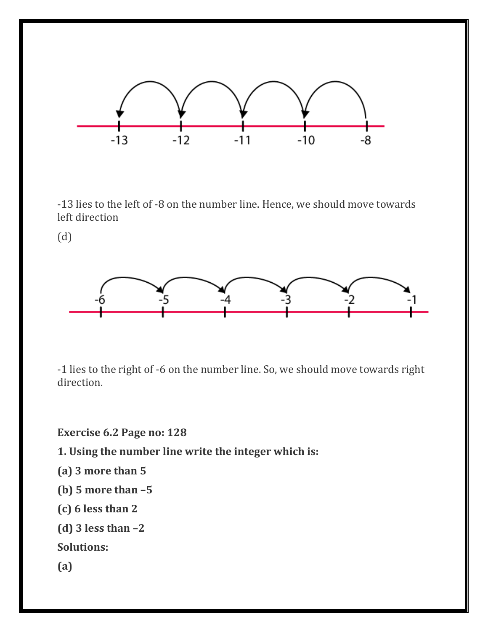

-13 lies to the left of -8 on the number line. Hence, we should move towards left direction

(d)



-1 lies to the right of -6 on the number line. So, we should move towards right direction.

**Exercise 6.2 Page no: 128**

**1. Using the number line write the integer which is:**

**(a) 3 more than 5**

- **(b) 5 more than –5**
- **(c) 6 less than 2**

**(d) 3 less than –2**

**Solutions:**

**(a)**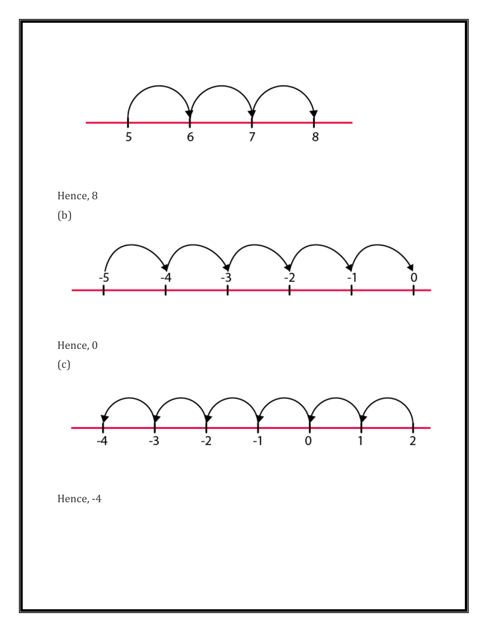

Hence, -4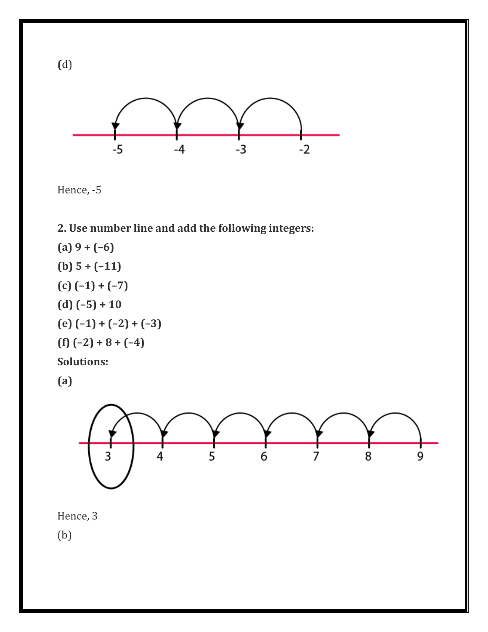



## **2. Use number line and add the following integers:**

**(a) 9 + (–6) (b) 5 + (–11) (c) (–1) + (–7) (d) (–5) + 10 (e) (–1) + (–2) + (–3) (f) (–2) + 8 + (–4) Solutions:**

**(a)**



Hence, 3

(b)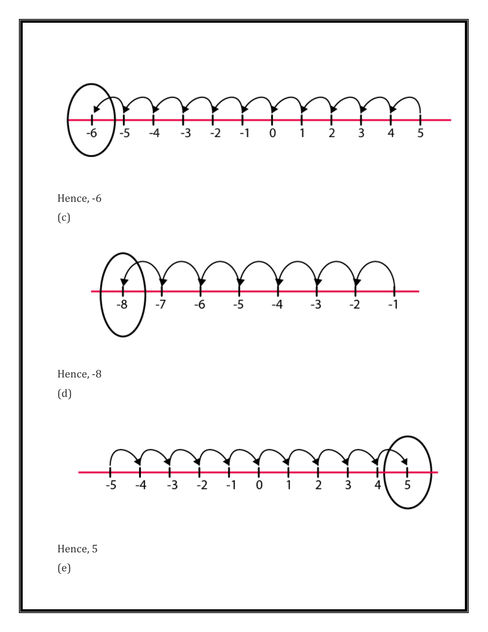

Hence, -6

(c)



Hence, -8 (d)





(e)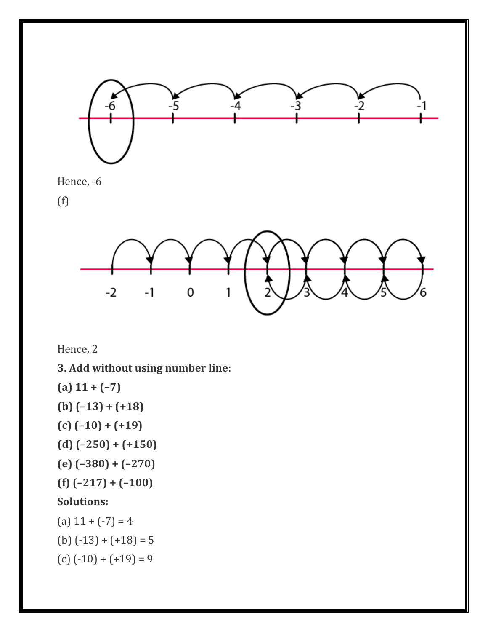



 $-1$ 

 $\pmb{0}$ 

1

**(a) 11 + (–7)**

Hence, 2

**(b) (–13) + (+18)**

 $-2$ 

- **(c) (–10) + (+19)**
- **(d) (–250) + (+150)**
- **(e) (–380) + (–270)**
- **(f) (–217) + (–100)**

## **Solutions:**

- (a)  $11 + (-7) = 4$
- (b)  $(-13) + (+18) = 5$
- $(c)$   $(-10) + (+19) = 9$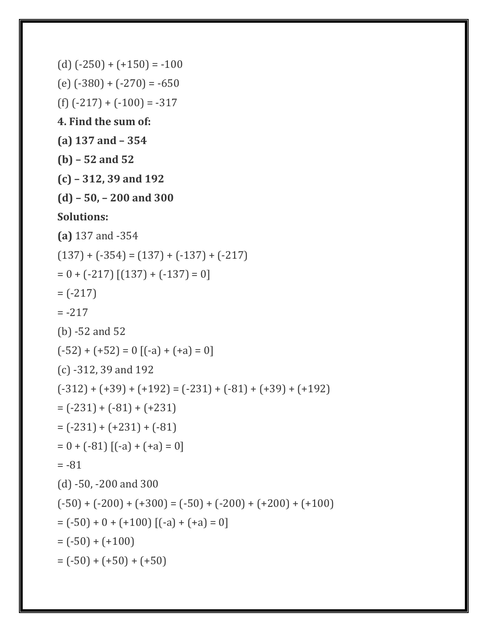```
(d) (-250) + (+150) = -100(e) (-380) + (-270) = -650
(f) (-217) + (-100) = -3174. Find the sum of:
(a) 137 and – 354
(b) – 52 and 52
(c) – 312, 39 and 192
(d) – 50, – 200 and 300
Solutions:
(a) 137 and -354
(137) + (-354) = (137) + (-137) + (-217)= 0 + (-217) [(137) + (-137) = 0]= (-217)= -217(b) -52 and 52
(-52) + (+52) = 0 [(-a) + (+a) = 0](c) -312, 39 and 192
(-312) + (+39) + (+192) = (-231) + (-81) + (+39) + (+192)= (-231) + (-81) + (+231)= (-231) + (+231) + (-81)= 0 + (-81) [(-a) + (+a) = 0]= -81(d) -50, -200 and 300
(-50) + (-200) + (+300) = (-50) + (-200) + (+200) + (+100)= (-50) + 0 + (+100) [(-a) + (+a) = 0]= (-50) + (+100)= (-50) + (+50) + (+50)
```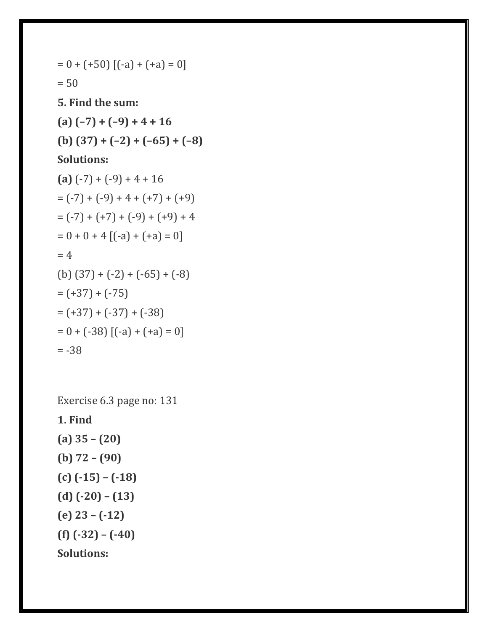$$
= 0 + (+50) [(-a) + (+a) = 0]
$$
  
\n
$$
= 50
$$
  
\n**5. Find the sum:**  
\n**(a) (-7) + (-9) + 4 + 16**  
\n**(b) (37) + (-2) + (-65) + (-8)**  
\n**Solutions:**  
\n**(a) (-7) + (-9) + 4 + 16**  
\n
$$
= (-7) + (-9) + 4 + (+7) + (+9)
$$
  
\n
$$
= (-7) + (+7) + (-9) + (+9) + 4
$$
  
\n
$$
= 0 + 0 + 4 [(-a) + (+a) = 0]
$$
  
\n
$$
= 4
$$
  
\n**(b) (37) + (-2) + (-65) + (-8)**  
\n
$$
= (+37) + (-37) + (-38)
$$
  
\n
$$
= 0 + (-38) [(-a) + (+a) = 0]
$$
  
\n
$$
= -38
$$

Exercise 6.3 page no: 131

**1. Find**

**(a) 35 – (20) (b) 72 – (90) (c) (-15) – (-18) (d) (-20) – (13) (e) 23 – (-12) (f) (-32) – (-40) Solutions:**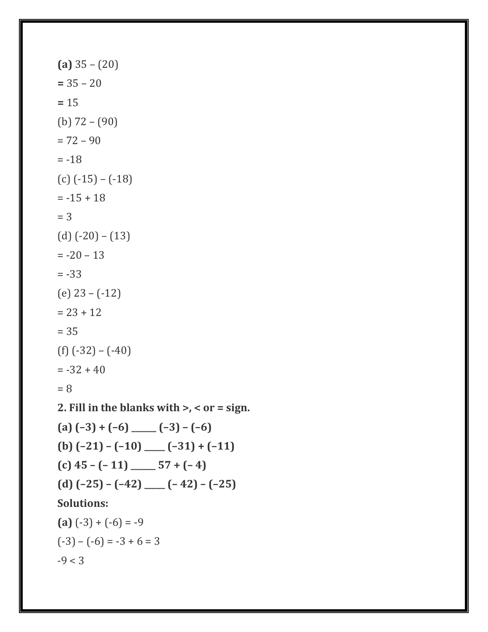```
(a) 35 – (20)
= 35 - 20= 15
(b) 72 – (90)
= 72 - 90= -18(c) (-15) – (-18)
= -15 + 18= 3(d) (-20) – (13)
= -20 - 13= -33(e) 23 – (-12)
= 23 + 12= 35(f) (-32) – (-40)
= -32 + 40= 82. Fill in the blanks with >, < or = sign.
(a) (-3) + (-6) ______ (-3) - (-6)(b) (–21) – (–10) _____ (–31) + (–11)
(c) 45 – (-11) ______ 57 + (-4)(d) (-25) - (-42) ____ (-42) - (-25)Solutions:
(a) (-3) + (-6) = -9(-3) - (-6) = -3 + 6 = 3-9 < 3
```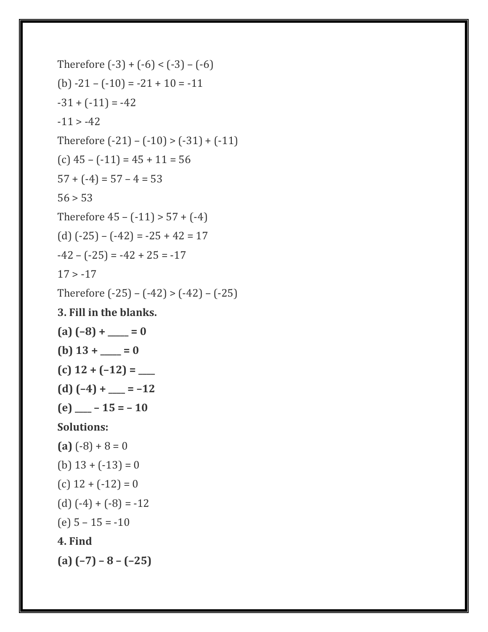```
Therefore (-3) + (-6) < (-3) - (-6)(b) -21 - (-10) = -21 + 10 = -11-31 + (-11) = -42-11 > -42Therefore (-21) - (-10) > (-31) + (-11)(c) 45 – (-11) = 45 + 11 = 56
57 + (-4) = 57 - 4 = 5356 > 53Therefore 45 - (-11) > 57 + (-4)(d) (-25) - (-42) = -25 + 42 = 17-42 - (-25) = -42 + 25 = -1717 > -17Therefore (-25) - (-42) > (-42) - (-25)3. Fill in the blanks.
(a) (-8) + \underline{\qquad} = 0(b) 13 + \_ = 0(c) 12 + (–12) = ____
(d) (-4) + \underline{\qquad} = -12(e) _____ - 15 = - 10
Solutions:
(a) (-8) + 8 = 0(b) 13 + (-13) = 0(c) 12 + (-12) = 0(d) (-4) + (-8) = -12(e) 5 – 15 = -10
4. Find
(a) (–7) – 8 – (–25)
```